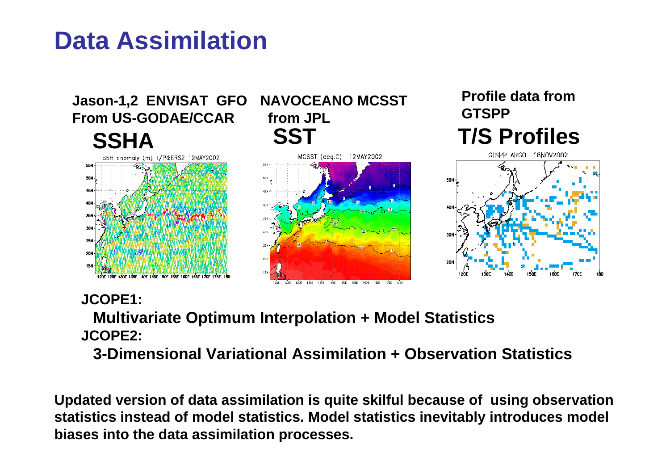## **Data Assimilation**



#### **JCOPE1:**

**Multivariate Optimum Interpolation + Model Statistics JCOPE2:** 

**3-Dimensional Variational Assimilation + Observation Statistics**

**Updated version of data assimilation is quite skilful because of using observation statistics instead of model statistics. Model statistics inevitably introduces model biases into the data assimilation processes.**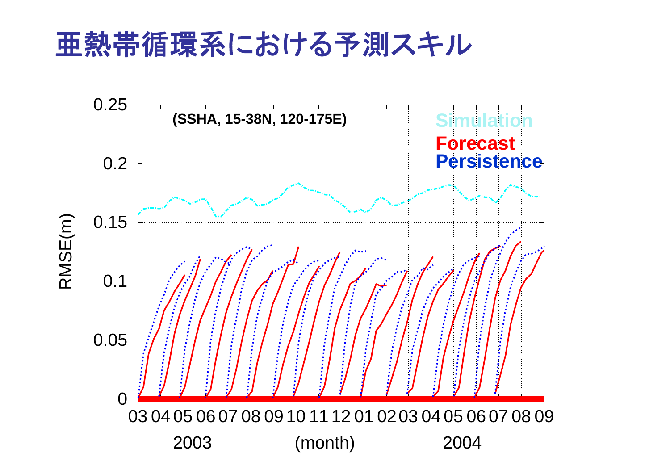# 亜熱帯循環系における予測スキル

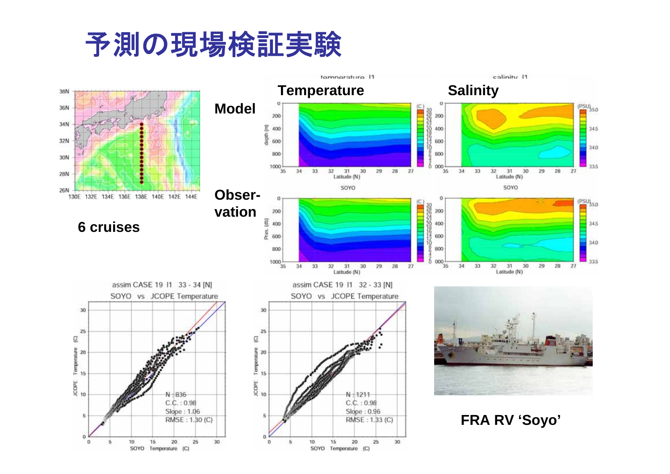# 予測の現場検証実験

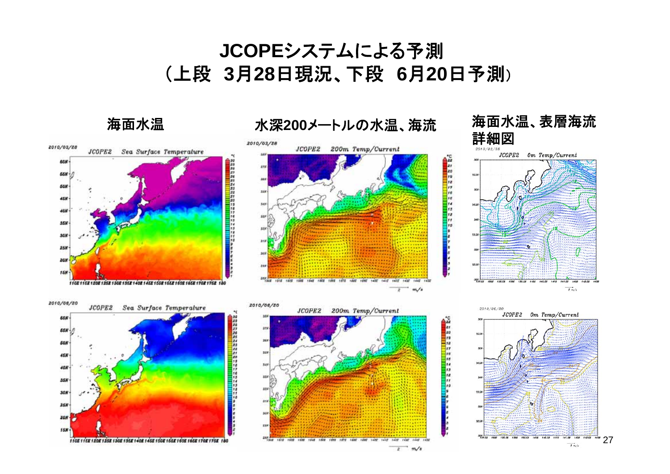### **JCOPE**システムによる予測 (上段 **3**月**28**日現況、下段 **6**月**20**日予測)

海面水温 水深**200**メートルの水温、海流 海面水温、表層海流

110E 115E 120E 125E 130E 135E 140E 145E 150E 155E 150E 165E 170E 175E 160

**35N 3GN 25N** ZGN

**158** 



**TH** 

 $739.58$ 

32K

LOST COST COST LESS

 $m/s$ 

 $\overline{P}$ 

THER LITE LEAD LEAD LINE LIST

 $142$  $\overrightarrow{1}$  m/s

 $\overrightarrow{1}$  m/s

 $\frac{7}{27}$